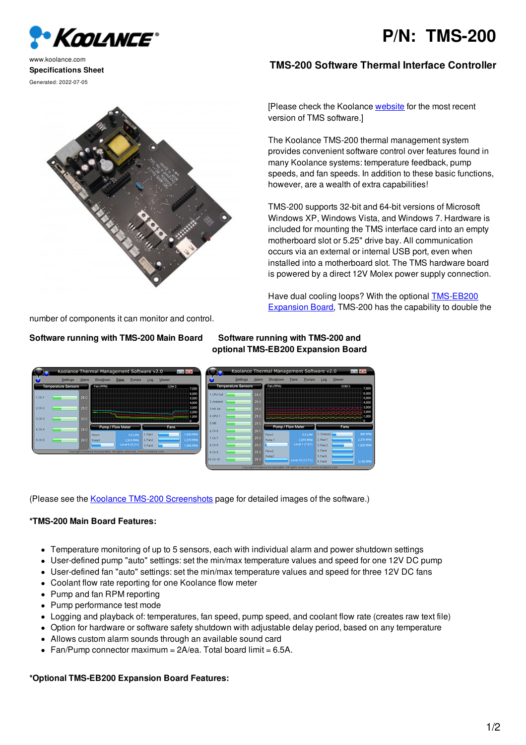# **P/N: TMS-200**



www.koolance.com **Specifications Sheet** Generated: 2022-07-05

# **TMS-200 Software Thermal Interface Controller**

[Please check the Koolance [website](http://koolance.com/software) for the most recent version of TMS software.]

The Koolance TMS-200 thermal management system provides convenient software control over features found in many Koolance systems: temperature feedback, pump speeds, and fan speeds. In addition to these basic functions, however, are a wealth of extra capabilities!

TMS-200 supports 32-bit and 64-bit versions of Microsoft Windows XP, Windows Vista, and Windows 7. Hardware is included for mounting the TMS interface card into an empty motherboard slot or 5.25" drive bay. All communication occurs via an external or internal USB port, even when installed into a motherboard slot. The TMS hardware board is powered by a direct 12V Molex power supply connection.

Have dual cooling loops? With the optional [TMS-EB200](http://koolance.com/tms-eb205-expansion-board) Expansion Board, TMS-200 has the capability to double the

number of components it can monitor and control.

# **Software running with TMS-200 Main Board Software running with TMS-200 and**

**optional TMS-EB200 Expansion Board**

|                     | Koolance Thermal Management Software v2.0 |            |                                                                        |           |                           |                  |                | <b>Contract</b> |                  |                     |                 | Koolance Thermal Management Software v2.0                              |                   |                            |                  |       | <b>Allen Ade</b> |
|---------------------|-------------------------------------------|------------|------------------------------------------------------------------------|-----------|---------------------------|------------------|----------------|-----------------|------------------|---------------------|-----------------|------------------------------------------------------------------------|-------------------|----------------------------|------------------|-------|------------------|
|                     | Settings                                  | Alarm      | Shutdown                                                               |           | Pumps                     | Log              | Wewer          |                 |                  | <b>Settings</b>     | Alarm           | Shutdown                                                               | Fans              | Pumps                      | Log              | Wewer |                  |
|                     | Temperature Sensors                       |            |                                                                        | Fan (RPM) |                           |                  | COM 3<br>7,000 |                 |                  | Temperature Sensors |                 | Fan (RPM)                                                              |                   |                            | COM 3<br>7,000   |       |                  |
| 1.0h1               |                                           | 26C        |                                                                        |           |                           |                  |                | 6,000           | 1.0PU Out        |                     | 24C             |                                                                        |                   |                            |                  |       | 6,000<br>5,000   |
|                     |                                           |            |                                                                        |           |                           |                  |                | 5,000<br>4,000  | 2. Ambient       |                     | 25 C            |                                                                        |                   |                            |                  |       | 4,000            |
| 120n2               |                                           | 25 C       |                                                                        |           |                           |                  |                | 3,000<br>2,000  | 3.HX Air         |                     | 25 C            |                                                                        |                   |                            |                  |       | 3,000<br>2,000   |
| 13.0 <sub>0</sub> 3 |                                           | 23C        |                                                                        |           |                           |                  |                |                 | 4.0PU 1          |                     | 25 C            |                                                                        |                   |                            |                  |       | 1,000            |
|                     |                                           |            | Pump / Flow Meter                                                      |           |                           |                  | <b>Fans</b>    |                 | <b>S.NB</b>      |                     | 25 C            |                                                                        | Pump / Flow Meter |                            |                  | Fans. |                  |
| 4.0 <sub>14</sub>   |                                           | 24 C       |                                                                        |           |                           | 1.Fent           |                | 1,650 PPM       | 6.016            |                     | 26 C            |                                                                        |                   |                            | 1. Chassis       |       | 990 88M          |
| 15.0 <sub>15</sub>  |                                           | 26 C Punot | Flow1                                                                  |           | <b>5.8UM</b><br>2,910 RPM | $2.1$ and        |                | 2,370,9394      | 7.0 <sub>2</sub> |                     | 25 C            | <b>Flow1</b><br>Pump 1                                                 |                   | <b>SBLPM</b><br>2,970 8914 | 2.Rad 1          |       | 2,370 RPM        |
|                     |                                           |            |                                                                        |           | Level 6 (8.2V)            | 3.5 <sub>0</sub> |                | 1,560 PPM       | 8.0h8            |                     | 25 <sub>C</sub> |                                                                        |                   | Level 1 (7.6%)             | 3. Rad 2         |       | 1,920.59M        |
|                     |                                           |            | Copyright Koolance Incorporated. All rights reserved, www.koolance.com |           |                           |                  |                |                 | 9.0h9            |                     | as c   Flow2    |                                                                        |                   |                            | 4. Fond          |       |                  |
|                     |                                           |            |                                                                        |           |                           |                  |                |                 | 10.0110          |                     | 26 C            | Pump2                                                                  |                   | Level 15 (12.7V)           | 5.Fan5<br>6.Fen6 |       | 3,150 RPM        |
|                     |                                           |            |                                                                        |           |                           |                  |                |                 |                  |                     |                 | Copyright Koolance Incorporated. All rights reserved, www.koolance.com |                   |                            |                  |       |                  |

(Please see the Koolance TMS-200 [Screenshots](http://koolance.com/tms-205-software-screenshots) page for detailed images of the software.)

## **\*TMS-200 Main Board Features:**

- Temperature monitoring of up to 5 sensors, each with individual alarm and power shutdown settings
- User-defined pump "auto" settings: set the min/max temperature values and speed for one 12V DC pump
- User-defined fan "auto" settings: set the min/max temperature values and speed for three 12V DC fans
- Coolant flow rate reporting for one Koolance flow meter
- Pump and fan RPM reporting
- Pump performance test mode
- Logging and playback of: temperatures, fan speed, pump speed, and coolant flow rate (creates raw text file)
- Option for hardware or software safety shutdown with adjustable delay period, based on any temperature
- Allows custom alarm sounds through an available sound card
- Fan/Pump connector maximum =  $2A/ea$ . Total board limit =  $6.5A$ .

### **\*Optional TMS-EB200 Expansion Board Features:**